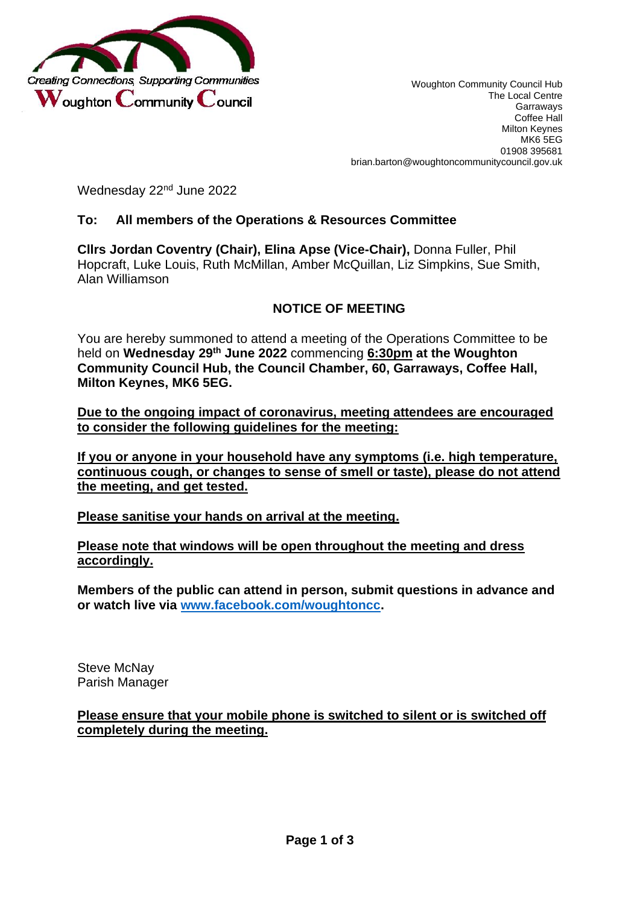

Wednesday 22<sup>nd</sup> June 2022

## **To: All members of the Operations & Resources Committee**

**Cllrs Jordan Coventry (Chair), Elina Apse (Vice-Chair),** Donna Fuller, Phil Hopcraft, Luke Louis, Ruth McMillan, Amber McQuillan, Liz Simpkins, Sue Smith, Alan Williamson

# **NOTICE OF MEETING**

You are hereby summoned to attend a meeting of the Operations Committee to be held on **Wednesday 29 th June 2022** commencing **6:30pm at the Woughton Community Council Hub, the Council Chamber, 60, Garraways, Coffee Hall, Milton Keynes, MK6 5EG.**

**Due to the ongoing impact of coronavirus, meeting attendees are encouraged to consider the following guidelines for the meeting:**

**If you or anyone in your household have any symptoms (i.e. high temperature, continuous cough, or changes to sense of smell or taste), please do not attend the meeting, and get tested.** 

**Please sanitise your hands on arrival at the meeting.**

**Please note that windows will be open throughout the meeting and dress accordingly.**

**Members of the public can attend in person, submit questions in advance and or watch live via [www.facebook.com/woughtoncc.](http://www.facebook.com/woughtoncc)**

Steve McNay Parish Manager

**Please ensure that your mobile phone is switched to silent or is switched off completely during the meeting.**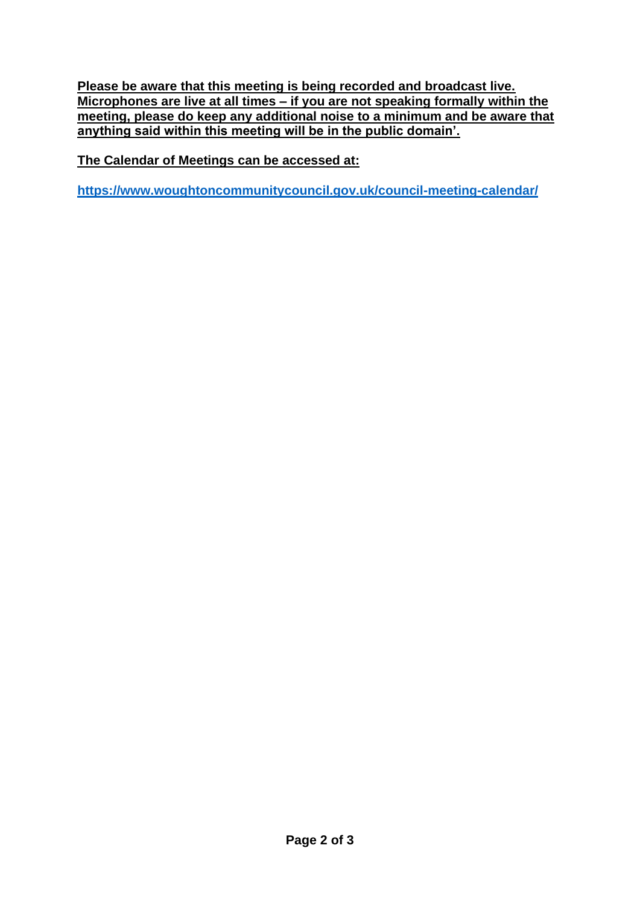**Please be aware that this meeting is being recorded and broadcast live. Microphones are live at all times – if you are not speaking formally within the meeting, please do keep any additional noise to a minimum and be aware that anything said within this meeting will be in the public domain'.** 

**The Calendar of Meetings can be accessed at:** 

**<https://www.woughtoncommunitycouncil.gov.uk/council-meeting-calendar/>**